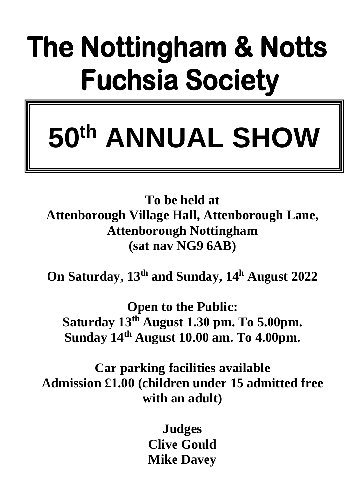# The Nottingham & Notts **Fuchsia Society**

# **50th ANNUAL SHOW**

**To be held at Attenborough Village Hall, Attenborough Lane, Attenborough Nottingham (sat nav NG9 6AB)**

**On Saturday, 13th and Sunday, 14<sup>h</sup> August 2022**

**Open to the Public: Saturday 13th August 1.30 pm. To 5.00pm. Sunday 14th August 10.00 am. To 4.00pm.** 

**Car parking facilities available Admission £1.00 (children under 15 admitted free with an adult)**

> **Judges Clive Gould Mike Davey**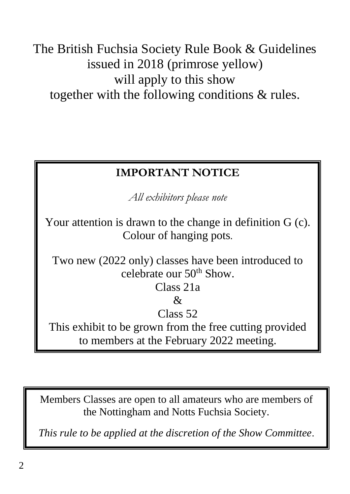The British Fuchsia Society Rule Book & Guidelines issued in 2018 (primrose yellow) will apply to this show together with the following conditions & rules.

# **IMPORTANT NOTICE**

*All exhibitors please note*

Your attention is drawn to the change in definition G (c). Colour of hanging pots*.*

Two new (2022 only) classes have been introduced to celebrate our 50th Show.

# Class 21a

### $\mathcal{R}$

# Class<sub>52</sub>

This exhibit to be grown from the free cutting provided to members at the February 2022 meeting.

Members Classes are open to all amateurs who are members of the Nottingham and Notts Fuchsia Society.

*This rule to be applied at the discretion of the Show Committee*.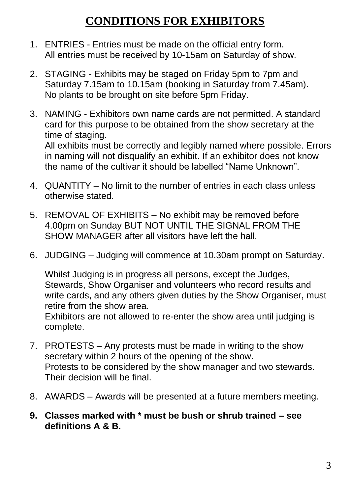# **CONDITIONS FOR EXHIBITORS**

- 1. ENTRIES Entries must be made on the official entry form. All entries must be received by 10-15am on Saturday of show.
- 2. STAGING Exhibits may be staged on Friday 5pm to 7pm and Saturday 7.15am to 10.15am (booking in Saturday from 7.45am). No plants to be brought on site before 5pm Friday.
- 3. NAMING Exhibitors own name cards are not permitted. A standard card for this purpose to be obtained from the show secretary at the time of staging.

All exhibits must be correctly and legibly named where possible. Errors in naming will not disqualify an exhibit. If an exhibitor does not know the name of the cultivar it should be labelled "Name Unknown".

- 4. QUANTITY No limit to the number of entries in each class unless otherwise stated.
- 5. REMOVAL OF EXHIBITS No exhibit may be removed before 4.00pm on Sunday BUT NOT UNTIL THE SIGNAL FROM THE SHOW MANAGER after all visitors have left the hall.
- 6. JUDGING Judging will commence at 10.30am prompt on Saturday.

Whilst Judging is in progress all persons, except the Judges, Stewards, Show Organiser and volunteers who record results and write cards, and any others given duties by the Show Organiser, must retire from the show area.

Exhibitors are not allowed to re-enter the show area until judging is complete.

- 7. PROTESTS Any protests must be made in writing to the show secretary within 2 hours of the opening of the show. Protests to be considered by the show manager and two stewards. Their decision will be final.
- 8. AWARDS Awards will be presented at a future members meeting.
- **9. Classes marked with \* must be bush or shrub trained – see definitions A & B.**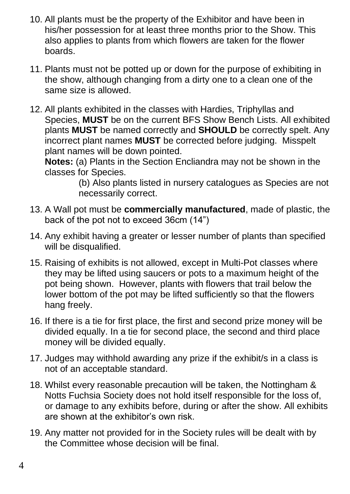- 10. All plants must be the property of the Exhibitor and have been in his/her possession for at least three months prior to the Show. This also applies to plants from which flowers are taken for the flower boards.
- 11. Plants must not be potted up or down for the purpose of exhibiting in the show, although changing from a dirty one to a clean one of the same size is allowed.
- 12. All plants exhibited in the classes with Hardies, Triphyllas and Species, **MUST** be on the current BFS Show Bench Lists. All exhibited plants **MUST** be named correctly and **SHOULD** be correctly spelt. Any incorrect plant names **MUST** be corrected before judging. Misspelt plant names will be down pointed.

**Notes:** (a) Plants in the Section Encliandra may not be shown in the classes for Species.

(b) Also plants listed in nursery catalogues as Species are not necessarily correct.

- 13. A Wall pot must be **commercially manufactured**, made of plastic, the back of the pot not to exceed 36cm (14")
- 14. Any exhibit having a greater or lesser number of plants than specified will be disqualified.
- 15. Raising of exhibits is not allowed, except in Multi-Pot classes where they may be lifted using saucers or pots to a maximum height of the pot being shown. However, plants with flowers that trail below the lower bottom of the pot may be lifted sufficiently so that the flowers hang freely.
- 16. If there is a tie for first place, the first and second prize money will be divided equally. In a tie for second place, the second and third place money will be divided equally.
- 17. Judges may withhold awarding any prize if the exhibit/s in a class is not of an acceptable standard.
- 18. Whilst every reasonable precaution will be taken, the Nottingham & Notts Fuchsia Society does not hold itself responsible for the loss of, or damage to any exhibits before, during or after the show. All exhibits are shown at the exhibitor's own risk.
- 19. Any matter not provided for in the Society rules will be dealt with by the Committee whose decision will be final.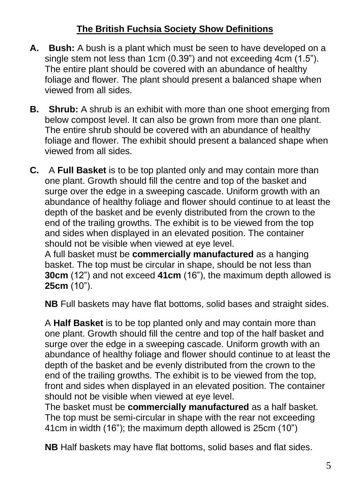## **The British Fuchsia Society Show Definitions**

- **A. Bush:** A bush is a plant which must be seen to have developed on a single stem not less than 1cm (0.39") and not exceeding 4cm (1.5"). The entire plant should be covered with an abundance of healthy foliage and flower. The plant should present a balanced shape when viewed from all sides.
- **B. Shrub:** A shrub is an exhibit with more than one shoot emerging from below compost level. It can also be grown from more than one plant. The entire shrub should be covered with an abundance of healthy foliage and flower. The exhibit should present a balanced shape when viewed from all sides.
- **C.** A **Full Basket** is to be top planted only and may contain more than one plant. Growth should fill the centre and top of the basket and surge over the edge in a sweeping cascade. Uniform growth with an abundance of healthy foliage and flower should continue to at least the depth of the basket and be evenly distributed from the crown to the end of the trailing growths. The exhibit is to be viewed from the top and sides when displayed in an elevated position. The container should not be visible when viewed at eye level.

A full basket must be **commercially manufactured** as a hanging basket. The top must be circular in shape, should be not less than **30cm** (12") and not exceed **41cm** (16"), the maximum depth allowed is **25cm** (10").

**NB** Full baskets may have flat bottoms, solid bases and straight sides.

A **Half Basket** is to be top planted only and may contain more than one plant. Growth should fill the centre and top of the half basket and surge over the edge in a sweeping cascade. Uniform growth with an abundance of healthy foliage and flower should continue to at least the depth of the basket and be evenly distributed from the crown to the end of the trailing growths. The exhibit is to be viewed from the top, front and sides when displayed in an elevated position. The container should not be visible when viewed at eye level.

The basket must be **commercially manufactured** as a half basket. The top must be semi-circular in shape with the rear not exceeding 41cm in width (16"); the maximum depth allowed is 25cm (10")

**NB** Half baskets may have flat bottoms, solid bases and flat sides.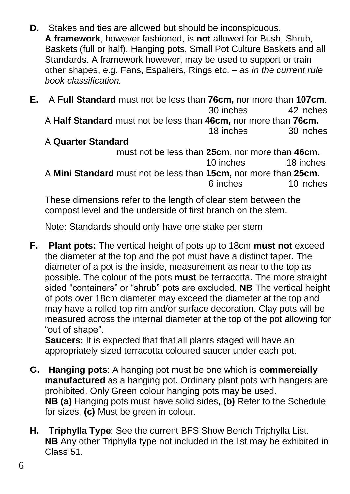- **D.** Stakes and ties are allowed but should be inconspicuous. **A framework**, however fashioned, is **not** allowed for Bush, Shrub, Baskets (full or half). Hanging pots, Small Pot Culture Baskets and all Standards. A framework however, may be used to support or train other shapes, e.g. Fans, Espaliers, Rings etc. – *as in the current rule book classification.*
- **E.** A **Full Standard** must not be less than **76cm,** nor more than **107cm**. 30 inches 42 inches A **Half Standard** must not be less than **46cm,** nor more than **76cm.**  18 inches 30 inches

#### A **Quarter Standard**

must not be less than **25cm**, nor more than **46cm.** 10 inches 18 inches A **Mini Standard** must not be less than **15cm,** nor more than **25cm.**  6 inches 10 inches

These dimensions refer to the length of clear stem between the compost level and the underside of first branch on the stem.

Note: Standards should only have one stake per stem

**F. Plant pots:** The vertical height of pots up to 18cm **must not** exceed the diameter at the top and the pot must have a distinct taper. The diameter of a pot is the inside, measurement as near to the top as possible. The colour of the pots **must** be terracotta. The more straight sided "containers" or "shrub" pots are excluded. **NB** The vertical height of pots over 18cm diameter may exceed the diameter at the top and may have a rolled top rim and/or surface decoration. Clay pots will be measured across the internal diameter at the top of the pot allowing for "out of shape".

**Saucers:** It is expected that that all plants staged will have an appropriately sized terracotta coloured saucer under each pot.

- **G. Hanging pots**: A hanging pot must be one which is **commercially manufactured** as a hanging pot. Ordinary plant pots with hangers are prohibited. Only Green colour hanging pots may be used. **NB (a)** Hanging pots must have solid sides, **(b)** Refer to the Schedule for sizes, **(c)** Must be green in colour.
- **H. Triphylla Type**: See the current BFS Show Bench Triphylla List. **NB** Any other Triphylla type not included in the list may be exhibited in Class 51.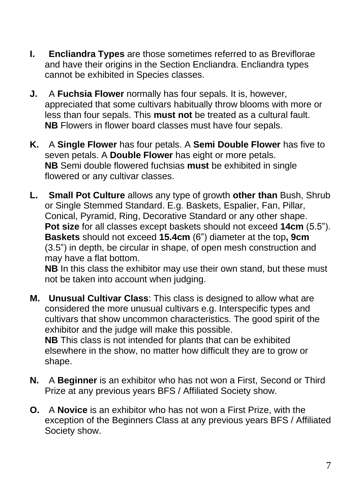- **I. Encliandra Types** are those sometimes referred to as Breviflorae and have their origins in the Section Encliandra. Encliandra types cannot be exhibited in Species classes.
- **J.** A **Fuchsia Flower** normally has four sepals. It is, however, appreciated that some cultivars habitually throw blooms with more or less than four sepals. This **must not** be treated as a cultural fault. **NB** Flowers in flower board classes must have four sepals.
- **K.** A **Single Flower** has four petals. A **Semi Double Flower** has five to seven petals. A **Double Flower** has eight or more petals. **NB** Semi double flowered fuchsias **must** be exhibited in single flowered or any cultivar classes.
- **L. Small Pot Culture** allows any type of growth **other than** Bush, Shrub or Single Stemmed Standard. E.g. Baskets, Espalier, Fan, Pillar, Conical, Pyramid, Ring, Decorative Standard or any other shape. **Pot size** for all classes except baskets should not exceed **14cm** (5.5"). **Baskets** should not exceed **15.4cm** (6") diameter at the top**, 9cm**  (3.5") in depth, be circular in shape, of open mesh construction and may have a flat bottom.

**NB** In this class the exhibitor may use their own stand, but these must not be taken into account when judging.

- **M. Unusual Cultivar Class**: This class is designed to allow what are considered the more unusual cultivars e.g. Interspecific types and cultivars that show uncommon characteristics. The good spirit of the exhibitor and the judge will make this possible. **NB** This class is not intended for plants that can be exhibited elsewhere in the show, no matter how difficult they are to grow or shape.
- **N.** A **Beginner** is an exhibitor who has not won a First, Second or Third Prize at any previous years BFS / Affiliated Society show.
- **O.** A **Novice** is an exhibitor who has not won a First Prize, with the exception of the Beginners Class at any previous years BFS / Affiliated Society show.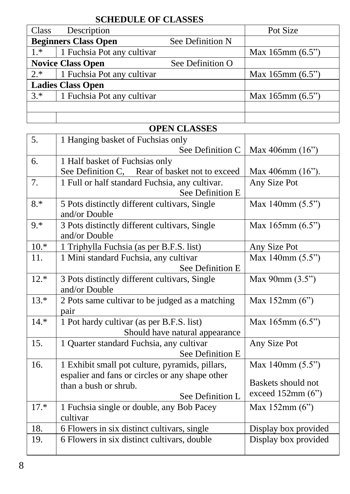#### **SCHEDULE OF CLASSES**

| Class                       | Description                |                  | Pot Size              |
|-----------------------------|----------------------------|------------------|-----------------------|
| <b>Beginners Class Open</b> |                            | See Definition N |                       |
| $1*$                        | 1 Fuchsia Pot any cultivar |                  | Max $165$ mm $(6.5")$ |
| <b>Novice Class Open</b>    |                            | See Definition O |                       |
| $2.*$                       | 1 Fuchsia Pot any cultivar |                  | Max $165$ mm $(6.5")$ |
| <b>Ladies Class Open</b>    |                            |                  |                       |
| $3.*$                       | 1 Fuchsia Pot any cultivar |                  | Max $165$ mm $(6.5")$ |
|                             |                            |                  |                       |
|                             |                            |                  |                       |

# **OPEN CLASSES**

| 5.     | 1 Hanging basket of Fuchsias only               |                            |
|--------|-------------------------------------------------|----------------------------|
|        | See Definition C                                | Max 406mm $(16)$           |
| 6.     | 1 Half basket of Fuchsias only                  |                            |
|        | See Definition C, Rear of basket not to exceed  | Max 406mm (16").           |
| 7.     | 1 Full or half standard Fuchsia, any cultivar.  | Any Size Pot               |
|        | See Definition E                                |                            |
| $8.*$  | 5 Pots distinctly different cultivars, Single   | Max $140$ mm $(5.5")$      |
|        | and/or Double                                   |                            |
| $9.*$  | 3 Pots distinctly different cultivars, Single   | Max $165$ mm $(6.5")$      |
|        | and/or Double                                   |                            |
| $10.*$ | 1 Triphylla Fuchsia (as per B.F.S. list)        | Any Size Pot               |
| 11.    | 1 Mini standard Fuchsia, any cultivar           | Max 140mm (5.5")           |
|        | See Definition E                                |                            |
| $12.*$ | 3 Pots distinctly different cultivars, Single   | Max 90mm (3.5")            |
|        | and/or Double                                   |                            |
| $13.*$ | 2 Pots same cultivar to be judged as a matching | Max $152mm(6")$            |
|        | pair                                            |                            |
| $14.*$ | 1 Pot hardy cultivar (as per B.F.S. list)       | Max $165$ mm $(6.5")$      |
|        | Should have natural appearance                  |                            |
| 15.    | 1 Quarter standard Fuchsia, any cultivar        | Any Size Pot               |
|        | See Definition E                                |                            |
| 16.    | 1 Exhibit small pot culture, pyramids, pillars, | Max $140 \text{mm} (5.5")$ |
|        | espalier and fans or circles or any shape other |                            |
|        | than a bush or shrub.                           | Baskets should not         |
|        | See Definition L                                | exceed $152mm(6")$         |
| $17.*$ | 1 Fuchsia single or double, any Bob Pacey       | Max $152mm(6")$            |
|        | cultivar                                        |                            |
| 18.    | 6 Flowers in six distinct cultivars, single     | Display box provided       |
| 19.    | 6 Flowers in six distinct cultivars, double     | Display box provided       |
|        |                                                 |                            |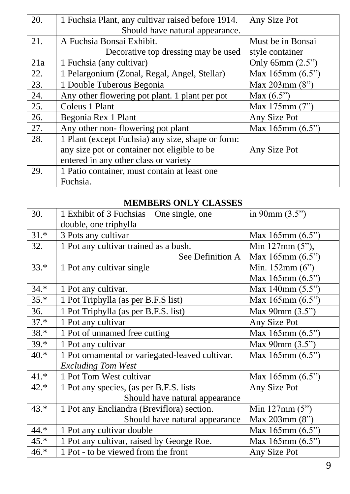| 20. | 1 Fuchsia Plant, any cultivar raised before 1914. | Any Size Pot          |
|-----|---------------------------------------------------|-----------------------|
|     | Should have natural appearance.                   |                       |
| 21. | A Fuchsia Bonsai Exhibit.                         | Must be in Bonsai     |
|     | Decorative top dressing may be used               | style container       |
| 21a | 1 Fuchsia (any cultivar)                          | Only $65mm(2.5")$     |
| 22. | 1 Pelargonium (Zonal, Regal, Angel, Stellar)      | Max $165$ mm $(6.5")$ |
| 23. | 1 Double Tuberous Begonia                         | Max $203$ mm $(8")$   |
| 24. | Any other flowering pot plant. 1 plant per pot    | Max $(6.5")$          |
| 25. | Coleus 1 Plant                                    | Max 175mm (7")        |
| 26. | Begonia Rex 1 Plant                               | Any Size Pot          |
| 27. | Any other non-flowering pot plant                 | Max $165$ mm $(6.5")$ |
| 28. | 1 Plant (except Fuchsia) any size, shape or form: |                       |
|     | any size pot or container not eligible to be      | Any Size Pot          |
|     | entered in any other class or variety             |                       |
| 29. | 1 Patio container, must contain at least one      |                       |
|     | Fuchsia.                                          |                       |

#### **MEMBERS ONLY CLASSES**

| 30.    | 1 Exhibit of 3 Fuchsias<br>One single, one      | in $90mm(3.5")$            |
|--------|-------------------------------------------------|----------------------------|
|        | double, one triphylla                           |                            |
| $31.*$ | 3 Pots any cultivar                             | Max $165 \text{mm} (6.5")$ |
| 32.    | 1 Pot any cultivar trained as a bush.           | Min $127mm(5")$ ,          |
|        | See Definition A                                | Max $165$ mm $(6.5")$      |
| $33.*$ | 1 Pot any cultivar single                       | Min. $152mm(6")$           |
|        |                                                 | Max $165$ mm $(6.5")$      |
| $34.*$ | 1 Pot any cultivar.                             | Max 140mm (5.5")           |
| $35.*$ | 1 Pot Triphylla (as per B.F.S list)             | Max $165$ mm $(6.5")$      |
| 36.    | 1 Pot Triphylla (as per B.F.S. list)            | Max $90mm(3.5")$           |
| $37.*$ | 1 Pot any cultivar                              | Any Size Pot               |
| 38.*   | 1 Pot of unnamed free cutting                   | Max $165$ mm $(6.5")$      |
| $39.*$ | 1 Pot any cultivar                              | Max $90mm(3.5")$           |
| 40.*   | 1 Pot ornamental or variegated-leaved cultivar. | Max $165$ mm $(6.5")$      |
|        | <b>Excluding Tom West</b>                       |                            |
| $41.*$ | 1 Pot Tom West cultivar                         | Max 165mm (6.5")           |
| 42.*   | 1 Pot any species, (as per B.F.S. lists         | Any Size Pot               |
|        | Should have natural appearance                  |                            |
| $43.*$ | 1 Pot any Encliandra (Breviflora) section.      | Min $127mm(5")$            |
|        | Should have natural appearance                  | Max 203mm (8")             |
| 44.*   | 1 Pot any cultivar double                       | Max $165$ mm $(6.5")$      |
| $45.*$ | 1 Pot any cultivar, raised by George Roe.       | Max $165$ mm $(6.5")$      |
| 46.*   | 1 Pot - to be viewed from the front             | Any Size Pot               |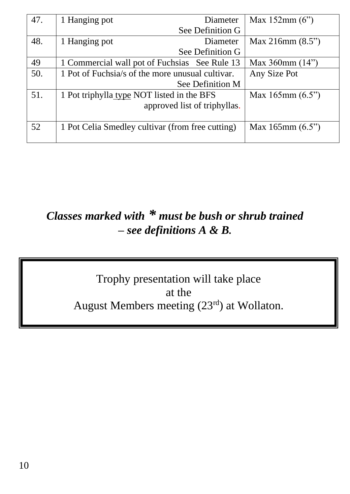| 47. | 1 Hanging pot                                    | Diameter         | Max $152mm(6")$       |
|-----|--------------------------------------------------|------------------|-----------------------|
|     |                                                  | See Definition G |                       |
| 48. | 1 Hanging pot                                    | Diameter         | Max 216mm $(8.5")$    |
|     |                                                  | See Definition G |                       |
| 49  | 1 Commercial wall pot of Fuchsias See Rule 13    |                  | Max $360$ mm $(14")$  |
| 50. | 1 Pot of Fuchsia/s of the more unusual cultivar. |                  | Any Size Pot          |
|     | See Definition M                                 |                  |                       |
| 51. | 1 Pot triphylla type NOT listed in the BFS       |                  | Max $165$ mm $(6.5")$ |
|     | approved list of triphyllas.                     |                  |                       |
|     |                                                  |                  |                       |
| 52  | 1 Pot Celia Smedley cultivar (from free cutting) |                  | Max $165$ mm $(6.5")$ |
|     |                                                  |                  |                       |

# *Classes marked with \* must be bush or shrub trained – see definitions A & B.*

Trophy presentation will take place at the August Members meeting (23rd) at Wollaton.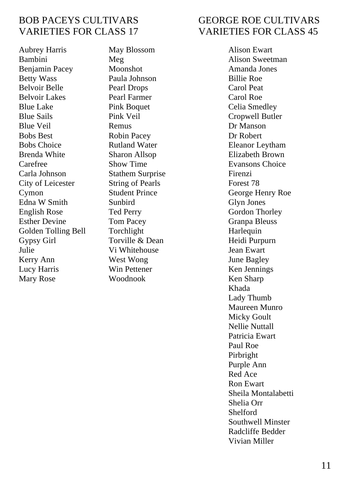# VARIETIES FOR CLASS 17 VARIETIES FOR CLASS 45

Aubrey Harris May Blossom Alison Ewart Bambini Meg Alison Sweetman Benjamin Pacey Moonshot Amanda Jones Betty Wass Paula Johnson Billie Roe Belvoir Belle Pearl Drops Carol Peat Belvoir Lakes Pearl Farmer Carol Roe Blue Lake Pink Boquet Celia Smedley Blue Sails Pink Veil Cropwell Butler Blue Veil **Remus** Remus **Dr Manson** Bobs Best Robin Pacey Dr Robert Bobs Choice Rutland Water Eleanor Leytham Brenda White Sharon Allsop Elizabeth Brown Carefree Show Time Evansons Choice Carla Johnson Stathem Surprise Firenzi City of Leicester String of Pearls Forest 78<br>
Cymon Student Prince George H Cymon Student Prince George Henry Roe Edna W Smith Sunbird Glyn Jones English Rose Ted Perry Gordon Thorley Esther Devine Tom Pacey Granpa Bleuss Golden Tolling Bell Torchlight Harlequin Gypsy Girl Torville & Dean Heidi Purpurn Julie Vi Whitehouse Jean Ewart Kerry Ann **West Wong State Communist Communist** June Bagley Lucy Harris Win Pettener Ken Jennings<br>
Mary Rose Woodnook Ken Sharp Mary Rose Woodnook Ken Sharp

# BOB PACEYS CULTIVARS GEORGE ROE CULTIVARS

Khada Lady Thumb Maureen Munro Micky Goult Nellie Nuttall Patricia Ewart Paul Roe Pirbright Purple Ann Red Ace Ron Ewart Sheila Montalabetti Shelia Orr Shelford Southwell Minster Radcliffe Bedder Vivian Miller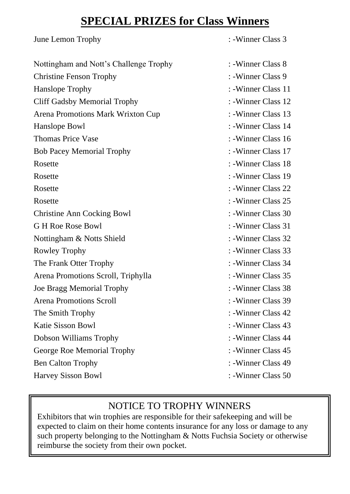# **SPECIAL PRIZES for Class Winners**

| June Lemon Trophy                      | : -Winner Class 3   |
|----------------------------------------|---------------------|
| Nottingham and Nott's Challenge Trophy | : -Winner Class 8   |
| <b>Christine Fenson Trophy</b>         | : -Winner Class 9   |
| Hanslope Trophy                        | : -Winner Class 11  |
| Cliff Gadsby Memorial Trophy           | : -Winner Class 12  |
| Arena Promotions Mark Wrixton Cup      | : -Winner Class 13  |
| Hanslope Bowl                          | : -Winner Class 14  |
| <b>Thomas Price Vase</b>               | : -Winner Class 16  |
| <b>Bob Pacey Memorial Trophy</b>       | : -Winner Class 17  |
| Rosette                                | : -Winner Class 18  |
| Rosette                                | : -Winner Class 19  |
| Rosette                                | : -Winner Class 22  |
| Rosette                                | : -Winner Class 25  |
| Christine Ann Cocking Bowl             | : -Winner Class 30  |
| G H Roe Rose Bowl                      | : -Winner Class 31  |
| Nottingham & Notts Shield              | : -Winner Class 32  |
| Rowley Trophy                          | : -Winner Class 33  |
| The Frank Otter Trophy                 | : -Winner Class 34  |
| Arena Promotions Scroll, Triphylla     | : -Winner Class 35  |
| Joe Bragg Memorial Trophy              | : -Winner Class 38  |
| Arena Promotions Scroll                | : - Winner Class 39 |
| The Smith Trophy                       | : -Winner Class 42  |
| Katie Sisson Bowl                      | : -Winner Class 43  |
| Dobson Williams Trophy                 | : -Winner Class 44  |
| George Roe Memorial Trophy             | : - Winner Class 45 |
| <b>Ben Calton Trophy</b>               | : -Winner Class 49  |
| Harvey Sisson Bowl                     | : -Winner Class 50  |

## NOTICE TO TROPHY WINNERS

Exhibitors that win trophies are responsible for their safekeeping and will be expected to claim on their home contents insurance for any loss or damage to any such property belonging to the Nottingham & Notts Fuchsia Society or otherwise reimburse the society from their own pocket.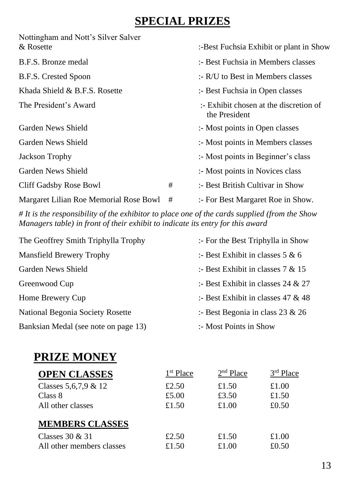# **SPECIAL PRIZES**

| Nottingham and Nott's Silver Salver<br>& Rosette | :-Best Fuchsia Exhibit or plant in Show |                                                                   |  |
|--------------------------------------------------|-----------------------------------------|-------------------------------------------------------------------|--|
| B.F.S. Bronze medal                              |                                         | :- Best Fuchsia in Members classes                                |  |
| B.F.S. Crested Spoon                             |                                         | $: R/U$ to Best in Members classes                                |  |
| Khada Shield & B.F.S. Rosette                    | :- Best Fuchsia in Open classes         |                                                                   |  |
| The President's Award                            |                                         | $\therefore$ Exhibit chosen at the discretion of<br>the President |  |
| Garden News Shield                               |                                         | :- Most points in Open classes                                    |  |
| Garden News Shield                               |                                         | :- Most points in Members classes                                 |  |
| Jackson Trophy                                   |                                         | :- Most points in Beginner's class                                |  |
| Garden News Shield                               |                                         | :- Most points in Novices class                                   |  |
| Cliff Gadsby Rose Bowl                           | #                                       | :- Best British Cultivar in Show                                  |  |
| Margaret Lilian Roe Memorial Rose Bowl           | #                                       | :- For Best Margaret Roe in Show.                                 |  |

*# It is the responsibility of the exhibitor to place one of the cards supplied (from the Show Managers table) in front of their exhibit to indicate its entry for this award*

| The Geoffrey Smith Triphylla Trophy  | :- For the Best Triphylla in Show    |
|--------------------------------------|--------------------------------------|
| Mansfield Brewery Trophy             | :- Best Exhibit in classes $5 & 6$   |
| Garden News Shield                   | :- Best Exhibit in classes $7 & 15$  |
| Greenwood Cup                        | :- Best Exhibit in classes 24 & 27   |
| Home Brewery Cup                     | :- Best Exhibit in classes $47 & 48$ |
| National Begonia Society Rosette     | :- Best Begonia in class 23 & 26     |
| Banksian Medal (see note on page 13) | :- Most Points in Show               |

# **PRIZE MONEY**

| <b>OPEN CLASSES</b>       | 1 <sup>st</sup> Place | $2nd$ Place | $3rd$ Place |
|---------------------------|-----------------------|-------------|-------------|
| Classes $5.6.7.9 \& 12$   | £2.50                 | £1.50       | £1.00       |
| Class 8                   | £5.00                 | £3.50       | £1.50       |
| All other classes         | £1.50                 | £1.00       | £0.50       |
| <b>MEMBERS CLASSES</b>    |                       |             |             |
| Classes $30 & 31$         | £2.50                 | £1.50       | £1.00       |
| All other members classes | £1.50                 | £1.00       | £0.50       |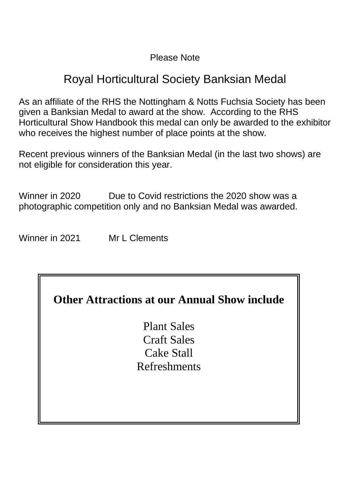#### Please Note

# Royal Horticultural Society Banksian Medal

As an affiliate of the RHS the Nottingham & Notts Fuchsia Society has been given a Banksian Medal to award at the show. According to the RHS Horticultural Show Handbook this medal can only be awarded to the exhibitor who receives the highest number of place points at the show.

Recent previous winners of the Banksian Medal (in the last two shows) are not eligible for consideration this year.

Winner in 2020 Due to Covid restrictions the 2020 show was a photographic competition only and no Banksian Medal was awarded.

Winner in 2021 Mr L Clements

# **Other Attractions at our Annual Show include**

Plant Sales Craft Sales Cake Stall Refreshments